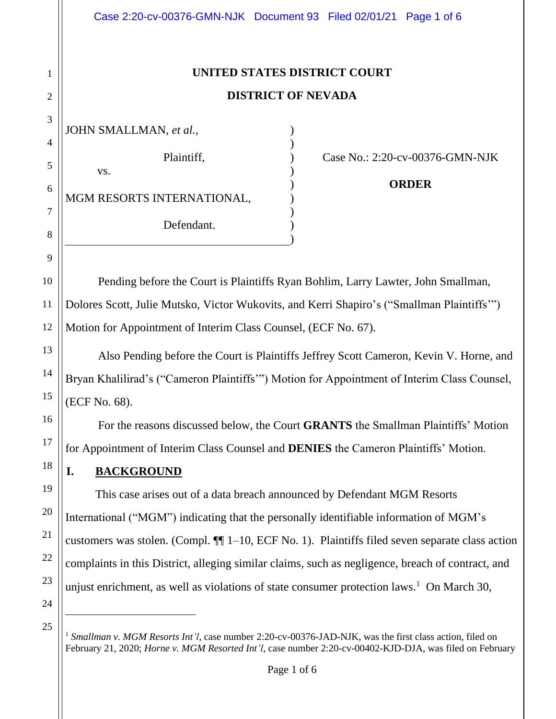| Case 2:20-cv-00376-GMN-NJK Document 93 Filed 02/01/21 Page 1 of 6                                     |  |                                                 |
|-------------------------------------------------------------------------------------------------------|--|-------------------------------------------------|
| UNITED STATES DISTRICT COURT                                                                          |  |                                                 |
| <b>DISTRICT OF NEVADA</b>                                                                             |  |                                                 |
| JOHN SMALLMAN, et al.,                                                                                |  |                                                 |
| Plaintiff,<br>VS.<br>MGM RESORTS INTERNATIONAL,                                                       |  | Case No.: 2:20-cv-00376-GMN-NJK<br><b>ORDER</b> |
| Defendant.                                                                                            |  |                                                 |
| Pending before the Court is Plaintiffs Ryan Bohlim, Larry Lawter, John Smallman,                      |  |                                                 |
| Dolores Scott, Julie Mutsko, Victor Wukovits, and Kerri Shapiro's ("Smallman Plaintiffs")             |  |                                                 |
| Motion for Appointment of Interim Class Counsel, (ECF No. 67).                                        |  |                                                 |
| Also Pending before the Court is Plaintiffs Jeffrey Scott Cameron, Kevin V. Horne, and                |  |                                                 |
| Bryan Khalilirad's ("Cameron Plaintiffs"") Motion for Appointment of Interim Class Counsel,           |  |                                                 |
| (ECF No. 68).                                                                                         |  |                                                 |
| For the reasons discussed below, the Court <b>GRANTS</b> the Smallman Plaintiffs' Motion              |  |                                                 |
| for Appointment of Interim Class Counsel and DENIES the Cameron Plaintiffs' Motion.                   |  |                                                 |
| I.<br><b>BACKGROUND</b>                                                                               |  |                                                 |
| This case arises out of a data breach announced by Defendant MGM Resorts                              |  |                                                 |
| International ("MGM") indicating that the personally identifiable information of MGM's                |  |                                                 |
| customers was stolen. (Compl. $\P$ 1–10, ECF No. 1). Plaintiffs filed seven separate class action     |  |                                                 |
| complaints in this District, alleging similar claims, such as negligence, breach of contract, and     |  |                                                 |
| unjust enrichment, as well as violations of state consumer protection laws. <sup>1</sup> On March 30, |  |                                                 |

24 25

1

2

3

4

5

6

7

8

9

10

11

12

13

14

15

16

17

18

19

20

21

22

23

<sup>&</sup>lt;sup>1</sup> Smallman v. MGM Resorts Int'l, case number 2:20-cv-00376-JAD-NJK, was the first class action, filed on February 21, 2020; *Horne v. MGM Resorted Int'l*, case number 2:20-cv-00402-KJD-DJA, was filed on February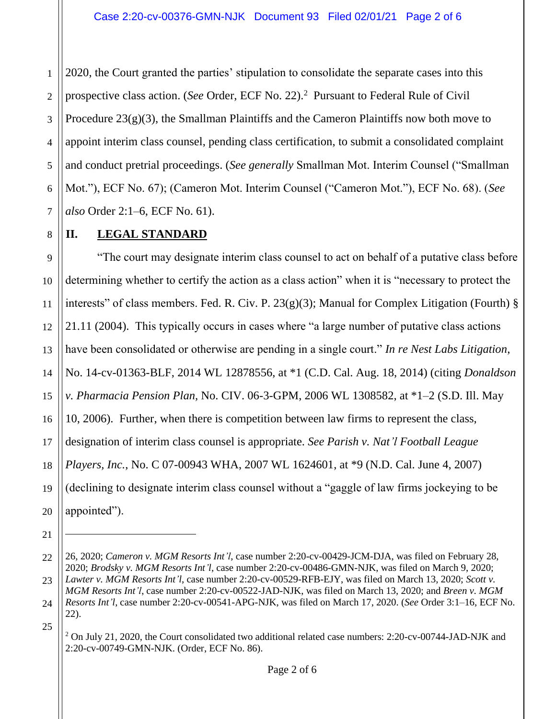1 2 3 4 5 6 7 2020, the Court granted the parties' stipulation to consolidate the separate cases into this prospective class action. (*See* Order, ECF No. 22).<sup>2</sup> Pursuant to Federal Rule of Civil Procedure  $23(g)(3)$ , the Smallman Plaintiffs and the Cameron Plaintiffs now both move to appoint interim class counsel, pending class certification, to submit a consolidated complaint and conduct pretrial proceedings. (*See generally* Smallman Mot. Interim Counsel ("Smallman Mot."), ECF No. 67); (Cameron Mot. Interim Counsel ("Cameron Mot."), ECF No. 68). (*See also* Order 2:1–6, ECF No. 61).

## **II. LEGAL STANDARD**

9 10 11 12 13 14 "The court may designate interim class counsel to act on behalf of a putative class before determining whether to certify the action as a class action" when it is "necessary to protect the interests" of class members. Fed. R. Civ. P.  $23(g)(3)$ ; Manual for Complex Litigation (Fourth) § 21.11 (2004). This typically occurs in cases where "a large number of putative class actions have been consolidated or otherwise are pending in a single court." *In re Nest Labs Litigation*, No. 14-cv-01363-BLF, 2014 WL 12878556, at \*1 (C.D. Cal. Aug. 18, 2014) (citing *Donaldson v. Pharmacia Pension Plan,* No. CIV. 06-3-GPM, 2006 WL 1308582, at \*1–2 (S.D. Ill. May 10, 2006). Further, when there is competition between law firms to represent the class, designation of interim class counsel is appropriate. *See Parish v. Nat'l Football League Players, Inc.*, No. C 07-00943 WHA, 2007 WL 1624601, at \*9 (N.D. Cal. June 4, 2007) (declining to designate interim class counsel without a "gaggle of law firms jockeying to be appointed").

21

8

<sup>22</sup> 26, 2020; *Cameron v. MGM Resorts Int'l*, case number 2:20-cv-00429-JCM-DJA, was filed on February 28, 2020; *Brodsky v. MGM Resorts Int'l*, case number 2:20-cv-00486-GMN-NJK, was filed on March 9, 2020; *Lawter v. MGM Resorts Int'l*, case number 2:20-cv-00529-RFB-EJY, was filed on March 13, 2020; *Scott v.* 

<sup>24</sup> *MGM Resorts Int'l*, case number 2:20-cv-00522-JAD-NJK, was filed on March 13, 2020; and *Breen v. MGM Resorts Int'l*, case number 2:20-cv-00541-APG-NJK, was filed on March 17, 2020. (*See* Order 3:1–16, ECF No. 22).

<sup>&</sup>lt;sup>2</sup> On July 21, 2020, the Court consolidated two additional related case numbers: 2:20-cv-00744-JAD-NJK and 2:20-cv-00749-GMN-NJK. (Order, ECF No. 86).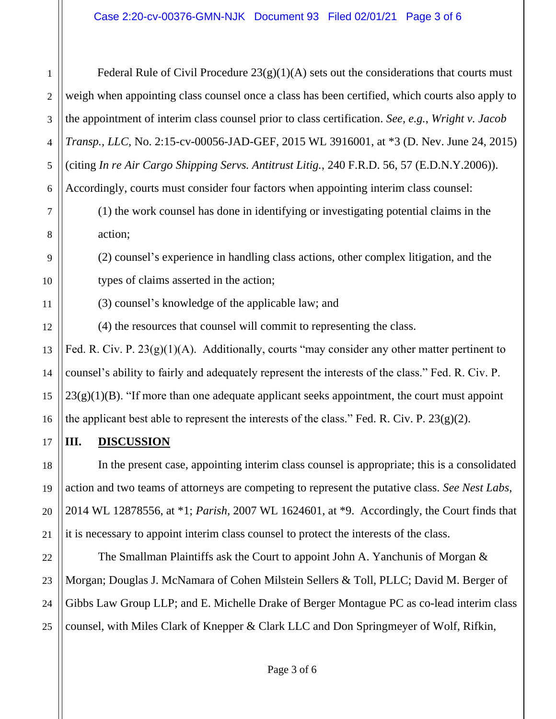1 2 3 4 5 Federal Rule of Civil Procedure  $23(g)(1)(A)$  sets out the considerations that courts must weigh when appointing class counsel once a class has been certified, which courts also apply to the appointment of interim class counsel prior to class certification. *See, e.g.*, *Wright v. Jacob Transp., LLC*, No. 2:15-cv-00056-JAD-GEF, 2015 WL 3916001, at \*3 (D. Nev. June 24, 2015) (citing *In re Air Cargo Shipping Servs. Antitrust Litig.*, 240 F.R.D. 56, 57 (E.D.N.Y.2006)). Accordingly, courts must consider four factors when appointing interim class counsel:

(1) the work counsel has done in identifying or investigating potential claims in the action;

(2) counsel's experience in handling class actions, other complex litigation, and the types of claims asserted in the action;

(3) counsel's knowledge of the applicable law; and

(4) the resources that counsel will commit to representing the class.

Fed. R. Civ. P. 23(g)(1)(A). Additionally, courts "may consider any other matter pertinent to counsel's ability to fairly and adequately represent the interests of the class." Fed. R. Civ. P.  $23(g)(1)(B)$ . "If more than one adequate applicant seeks appointment, the court must appoint the applicant best able to represent the interests of the class." Fed. R. Civ. P.  $23(g)(2)$ .

**III. DISCUSSION** 

In the present case, appointing interim class counsel is appropriate; this is a consolidated action and two teams of attorneys are competing to represent the putative class. *See Nest Labs*, 2014 WL 12878556, at \*1; *Parish*, 2007 WL 1624601, at \*9. Accordingly, the Court finds that it is necessary to appoint interim class counsel to protect the interests of the class.

The Smallman Plaintiffs ask the Court to appoint John A. Yanchunis of Morgan & Morgan; Douglas J. McNamara of Cohen Milstein Sellers & Toll, PLLC; David M. Berger of Gibbs Law Group LLP; and E. Michelle Drake of Berger Montague PC as co-lead interim class counsel, with Miles Clark of Knepper & Clark LLC and Don Springmeyer of Wolf, Rifkin,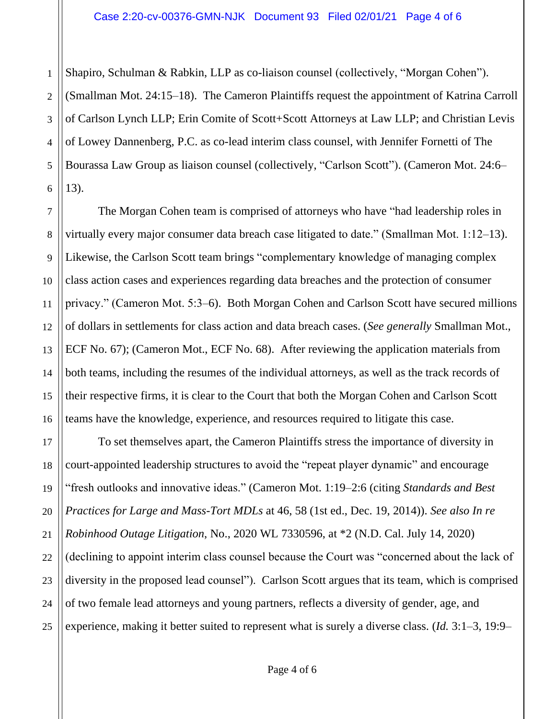Shapiro, Schulman & Rabkin, LLP as co-liaison counsel (collectively, "Morgan Cohen").

1

11

2 3 4 5 6 (Smallman Mot. 24:15–18). The Cameron Plaintiffs request the appointment of Katrina Carroll of Carlson Lynch LLP; Erin Comite of Scott+Scott Attorneys at Law LLP; and Christian Levis of Lowey Dannenberg, P.C. as co-lead interim class counsel, with Jennifer Fornetti of The Bourassa Law Group as liaison counsel (collectively, "Carlson Scott"). (Cameron Mot. 24:6– 13).

7 8 9 10 12 13 14 15 16 The Morgan Cohen team is comprised of attorneys who have "had leadership roles in virtually every major consumer data breach case litigated to date." (Smallman Mot. 1:12–13). Likewise, the Carlson Scott team brings "complementary knowledge of managing complex class action cases and experiences regarding data breaches and the protection of consumer privacy." (Cameron Mot. 5:3–6). Both Morgan Cohen and Carlson Scott have secured millions of dollars in settlements for class action and data breach cases. (*See generally* Smallman Mot., ECF No. 67); (Cameron Mot., ECF No. 68). After reviewing the application materials from both teams, including the resumes of the individual attorneys, as well as the track records of their respective firms, it is clear to the Court that both the Morgan Cohen and Carlson Scott teams have the knowledge, experience, and resources required to litigate this case.

17 18 19 20 21 22 23 24 25 To set themselves apart, the Cameron Plaintiffs stress the importance of diversity in court-appointed leadership structures to avoid the "repeat player dynamic" and encourage "fresh outlooks and innovative ideas." (Cameron Mot. 1:19–2:6 (citing *Standards and Best Practices for Large and Mass-Tort MDLs* at 46, 58 (1st ed., Dec. 19, 2014)). *See also In re Robinhood Outage Litigation*, No., 2020 WL 7330596, at \*2 (N.D. Cal. July 14, 2020) (declining to appoint interim class counsel because the Court was "concerned about the lack of diversity in the proposed lead counsel"). Carlson Scott argues that its team, which is comprised of two female lead attorneys and young partners, reflects a diversity of gender, age, and experience, making it better suited to represent what is surely a diverse class. (*Id.* 3:1–3, 19:9–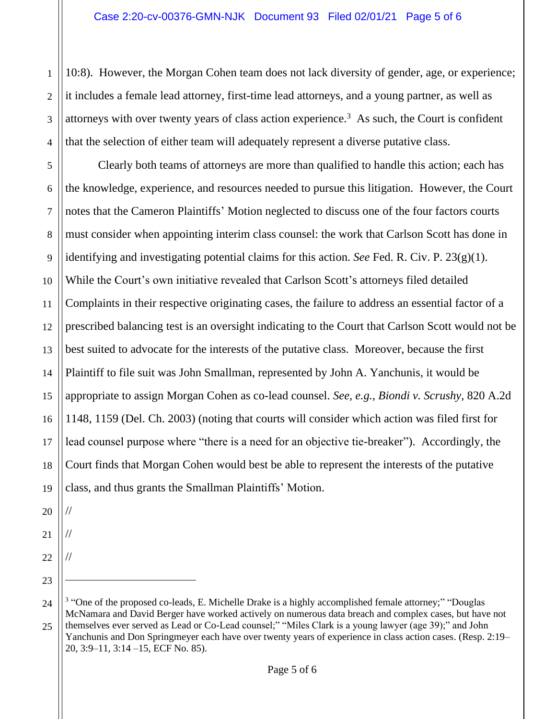10:8). However, the Morgan Cohen team does not lack diversity of gender, age, or experience; it includes a female lead attorney, first-time lead attorneys, and a young partner, as well as attorneys with over twenty years of class action experience. 3 As such, the Court is confident that the selection of either team will adequately represent a diverse putative class.

5 6 7 8 9 10 12 13 14 15 16 17 18 19 Clearly both teams of attorneys are more than qualified to handle this action; each has the knowledge, experience, and resources needed to pursue this litigation. However, the Court notes that the Cameron Plaintiffs' Motion neglected to discuss one of the four factors courts must consider when appointing interim class counsel: the work that Carlson Scott has done in identifying and investigating potential claims for this action. *See* Fed. R. Civ. P. 23(g)(1). While the Court's own initiative revealed that Carlson Scott's attorneys filed detailed Complaints in their respective originating cases, the failure to address an essential factor of a prescribed balancing test is an oversight indicating to the Court that Carlson Scott would not be best suited to advocate for the interests of the putative class. Moreover, because the first Plaintiff to file suit was John Smallman, represented by John A. Yanchunis, it would be appropriate to assign Morgan Cohen as co-lead counsel. *See, e.g.*, *Biondi v. Scrushy*, 820 A.2d 1148, 1159 (Del. Ch. 2003) (noting that courts will consider which action was filed first for lead counsel purpose where "there is a need for an objective tie-breaker"). Accordingly, the Court finds that Morgan Cohen would best be able to represent the interests of the putative class, and thus grants the Smallman Plaintiffs' Motion.

20

//

//

//

1

2

3

4

11

21

22

23

<sup>24</sup> 25 <sup>3</sup> "One of the proposed co-leads, E. Michelle Drake is a highly accomplished female attorney;" "Douglas McNamara and David Berger have worked actively on numerous data breach and complex cases, but have not themselves ever served as Lead or Co-Lead counsel;" "Miles Clark is a young lawyer (age 39);" and John Yanchunis and Don Springmeyer each have over twenty years of experience in class action cases. (Resp. 2:19– 20, 3:9–11, 3:14 –15, ECF No. 85).